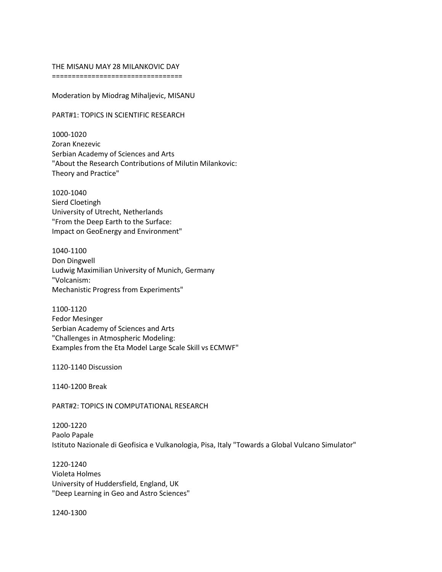## THE MISANU MAY 28 MILANKOVIC DAY

=================================

Moderation by Miodrag Mihaljevic, MISANU

PART#1: TOPICS IN SCIENTIFIC RESEARCH

1000-1020 Zoran Knezevic Serbian Academy of Sciences and Arts "About the Research Contributions of Milutin Milankovic: Theory and Practice"

1020-1040 Sierd Cloetingh University of Utrecht, Netherlands "From the Deep Earth to the Surface: Impact on GeoEnergy and Environment"

1040-1100 Don Dingwell Ludwig Maximilian University of Munich, Germany "Volcanism: Mechanistic Progress from Experiments"

1100-1120 Fedor Mesinger Serbian Academy of Sciences and Arts "Challenges in Atmospheric Modeling: Examples from the Eta Model Large Scale Skill vs ECMWF"

1120-1140 Discussion

1140-1200 Break

PART#2: TOPICS IN COMPUTATIONAL RESEARCH

1200-1220 Paolo Papale Istituto Nazionale di Geofisica e Vulkanologia, Pisa, Italy "Towards a Global Vulcano Simulator"

1220-1240 Violeta Holmes University of Huddersfield, England, UK "Deep Learning in Geo and Astro Sciences"

1240-1300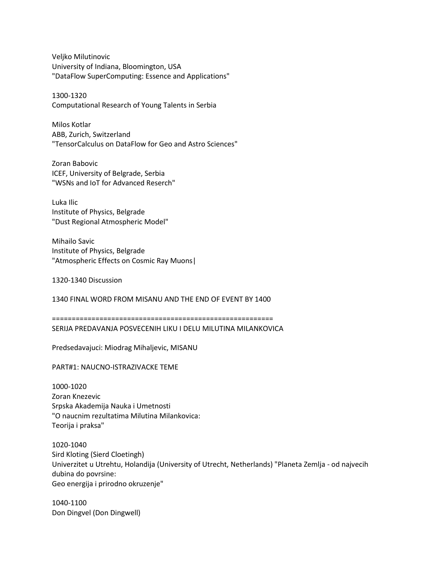Veljko Milutinovic University of Indiana, Bloomington, USA "DataFlow SuperComputing: Essence and Applications"

1300-1320 Computational Research of Young Talents in Serbia

Milos Kotlar ABB, Zurich, Switzerland "TensorCalculus on DataFlow for Geo and Astro Sciences"

Zoran Babovic ICEF, University of Belgrade, Serbia "WSNs and IoT for Advanced Reserch"

Luka Ilic Institute of Physics, Belgrade "Dust Regional Atmospheric Model"

Mihailo Savic Institute of Physics, Belgrade "Atmospheric Effects on Cosmic Ray Muons|

1320-1340 Discussion

1340 FINAL WORD FROM MISANU AND THE END OF EVENT BY 1400

======================================================== SERIJA PREDAVANJA POSVECENIH LIKU I DELU MILUTINA MILANKOVICA

Predsedavajuci: Miodrag Mihaljevic, MISANU

PART#1: NAUCNO-ISTRAZIVACKE TEME

1000-1020 Zoran Knezevic Srpska Akademija Nauka i Umetnosti "O naucnim rezultatima Milutina Milankovica: Teorija i praksa"

1020-1040 Sird Kloting (Sierd Cloetingh) Univerzitet u Utrehtu, Holandija (University of Utrecht, Netherlands) "Planeta Zemlja - od najvecih dubina do povrsine: Geo energija i prirodno okruzenje"

1040-1100 Don Dingvel (Don Dingwell)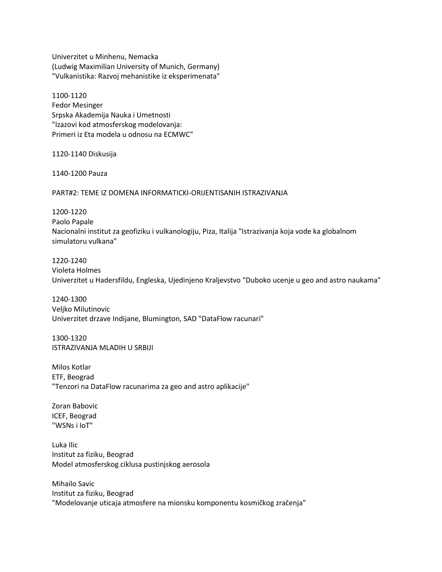Univerzitet u Minhenu, Nemacka (Ludwig Maximilian University of Munich, Germany) "Vulkanistika: Razvoj mehanistike iz eksperimenata"

1100-1120 Fedor Mesinger Srpska Akademija Nauka i Umetnosti "Izazovi kod atmosferskog modelovanja: Primeri iz Eta modela u odnosu na ECMWC"

1120-1140 Diskusija

1140-1200 Pauza

PART#2: TEME IZ DOMENA INFORMATICKI-ORIJENTISANIH ISTRAZIVANJA

1200-1220 Paolo Papale Nacionalni institut za geofiziku i vulkanologiju, Piza, Italija "Istrazivanja koja vode ka globalnom simulatoru vulkana"

1220-1240 Violeta Holmes Univerzitet u Hadersfildu, Engleska, Ujedinjeno Kraljevstvo "Duboko ucenje u geo and astro naukama"

1240-1300 Veljko Milutinovic Univerzitet drzave Indijane, Blumington, SAD "DataFlow racunari"

1300-1320 ISTRAZIVANJA MLADIH U SRBIJI

Milos Kotlar ETF, Beograd "Tenzori na DataFlow racunarima za geo and astro aplikacije"

Zoran Babovic ICEF, Beograd "WSNs i IoT"

Luka Ilic Institut za fiziku, Beograd Model atmosferskog ciklusa pustinjskog aerosola

Mihailo Savic Institut za fiziku, Beograd "Modelovanje uticaja atmosfere na mionsku komponentu kosmičkog zračenja"